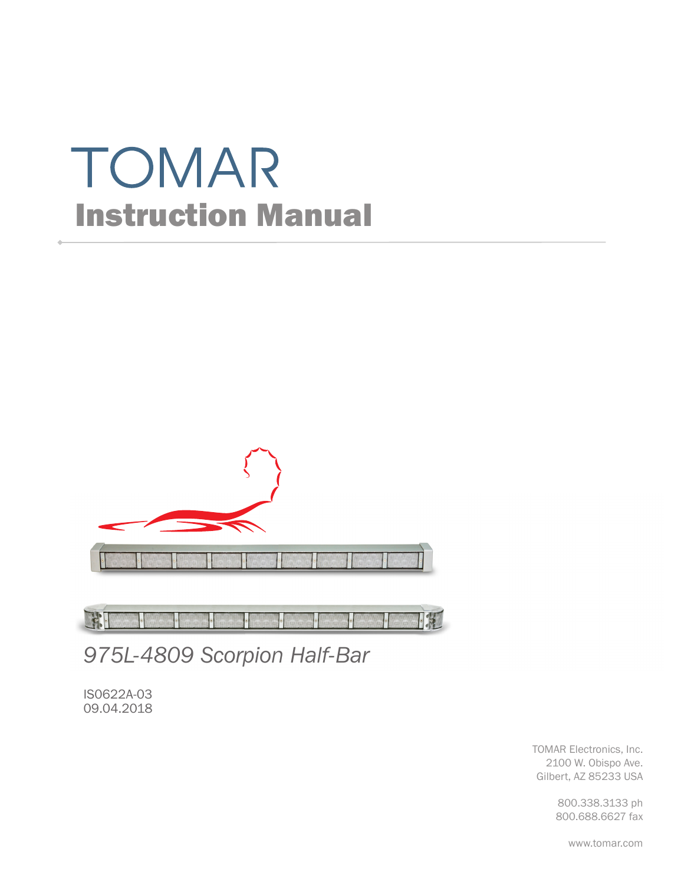# TOMAR Instruction Manual



H BIC

*975L-4809 Scorpion Half-Bar*

IS0622A-03 09.04.2018

> TOMAR Electronics, Inc. 2100 W. Obispo Ave. Gilbert, AZ 85233 USA

> > 800.338.3133 ph 800.688.6627 fax

> > > www.tomar.com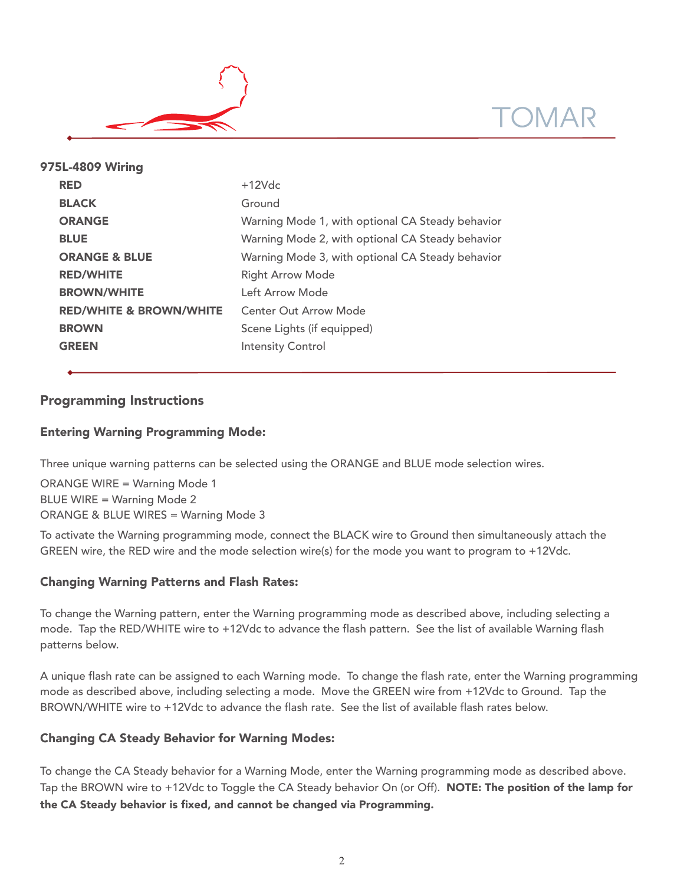



| 975L-4809 Wiring                   |                                                  |
|------------------------------------|--------------------------------------------------|
| <b>RED</b>                         | $+12Vdc$                                         |
| <b>BLACK</b>                       | Ground                                           |
| <b>ORANGE</b>                      | Warning Mode 1, with optional CA Steady behavior |
| <b>BLUE</b>                        | Warning Mode 2, with optional CA Steady behavior |
| <b>ORANGE &amp; BLUE</b>           | Warning Mode 3, with optional CA Steady behavior |
| <b>RED/WHITE</b>                   | <b>Right Arrow Mode</b>                          |
| <b>BROWN/WHITE</b>                 | Left Arrow Mode                                  |
| <b>RED/WHITE &amp; BROWN/WHITE</b> | <b>Center Out Arrow Mode</b>                     |
| <b>BROWN</b>                       | Scene Lights (if equipped)                       |
| <b>GREEN</b>                       | <b>Intensity Control</b>                         |
|                                    |                                                  |

# Programming Instructions

# Entering Warning Programming Mode:

Three unique warning patterns can be selected using the ORANGE and BLUE mode selection wires.

ORANGE WIRE = Warning Mode 1 BLUE WIRE = Warning Mode 2 ORANGE & BLUE WIRES = Warning Mode 3

To activate the Warning programming mode, connect the BLACK wire to Ground then simultaneously attach the GREEN wire, the RED wire and the mode selection wire(s) for the mode you want to program to +12Vdc.

## Changing Warning Patterns and Flash Rates:

To change the Warning pattern, enter the Warning programming mode as described above, including selecting a mode. Tap the RED/WHITE wire to +12Vdc to advance the flash pattern. See the list of available Warning flash patterns below.

A unique flash rate can be assigned to each Warning mode. To change the flash rate, enter the Warning programming mode as described above, including selecting a mode. Move the GREEN wire from +12Vdc to Ground. Tap the BROWN/WHITE wire to +12Vdc to advance the flash rate. See the list of available flash rates below.

# Changing CA Steady Behavior for Warning Modes:

To change the CA Steady behavior for a Warning Mode, enter the Warning programming mode as described above. Tap the BROWN wire to +12Vdc to Toggle the CA Steady behavior On (or Off). NOTE: The position of the lamp for the CA Steady behavior is fixed, and cannot be changed via Programming.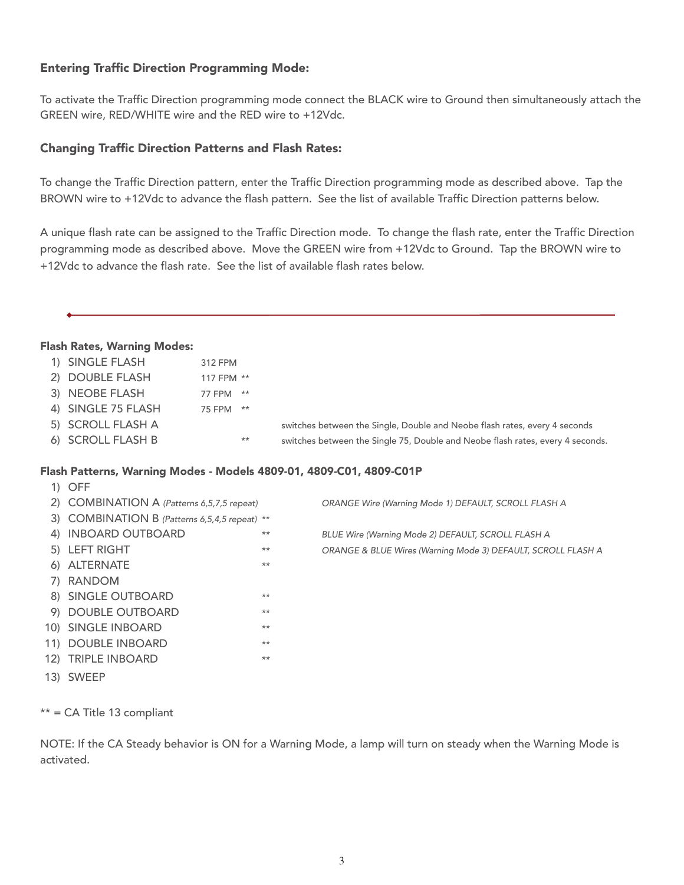# Entering Traffic Direction Programming Mode:

To activate the Traffic Direction programming mode connect the BLACK wire to Ground then simultaneously attach the GREEN wire, RED/WHITE wire and the RED wire to +12Vdc.

# Changing Traffic Direction Patterns and Flash Rates:

To change the Traffic Direction pattern, enter the Traffic Direction programming mode as described above. Tap the BROWN wire to +12Vdc to advance the flash pattern. See the list of available Traffic Direction patterns below.

A unique flash rate can be assigned to the Traffic Direction mode. To change the flash rate, enter the Traffic Direction programming mode as described above. Move the GREEN wire from +12Vdc to Ground. Tap the BROWN wire to +12Vdc to advance the flash rate. See the list of available flash rates below.

#### Flash Rates, Warning Modes:

| 1) SINGLE FLASH    | 312 FPM    |                                                                                |
|--------------------|------------|--------------------------------------------------------------------------------|
| 2) DOUBLE FLASH    | 117 FPM ** |                                                                                |
| 3) NEOBE FLASH     | 77 FPM **  |                                                                                |
| 4) SINGLE 75 FLASH | 75 FPM **  |                                                                                |
| 5) SCROLL FLASH A  |            | switches between the Single, Double and Neobe flash rates, every 4 seconds     |
| 6) SCROLL FLASH B  | $***$      | switches between the Single 75, Double and Neobe flash rates, every 4 seconds. |

#### Flash Patterns, Warning Modes - Models 4809-01, 4809-C01, 4809-C01P

| $1)$ OFF                                      |      |                                                              |
|-----------------------------------------------|------|--------------------------------------------------------------|
| 2) COMBINATION A (Patterns 6,5,7,5 repeat)    |      | ORANGE Wire (Warning Mode 1) DEFAULT, SCROLL FLASH A         |
| 3) COMBINATION B (Patterns 6,5,4,5 repeat) ** |      |                                                              |
| 4) INBOARD OUTBOARD                           | $**$ | BLUE Wire (Warning Mode 2) DEFAULT, SCROLL FLASH A           |
| 5) LEFT RIGHT                                 | $**$ | ORANGE & BLUE Wires (Warning Mode 3) DEFAULT, SCROLL FLASH A |
| 6) ALTERNATE                                  | $**$ |                                                              |
| 7) RANDOM                                     |      |                                                              |
| 8) SINGLE OUTBOARD                            | $**$ |                                                              |
| 9) DOUBLE OUTBOARD                            | $**$ |                                                              |
| 10) SINGLE INBOARD                            | $**$ |                                                              |
| 11) DOUBLE INBOARD                            | $**$ |                                                              |
| 12) TRIPLE INBOARD                            | $**$ |                                                              |
| 13) SWEEP                                     |      |                                                              |

\*\* = CA Title 13 compliant

NOTE: If the CA Steady behavior is ON for a Warning Mode, a lamp will turn on steady when the Warning Mode is activated.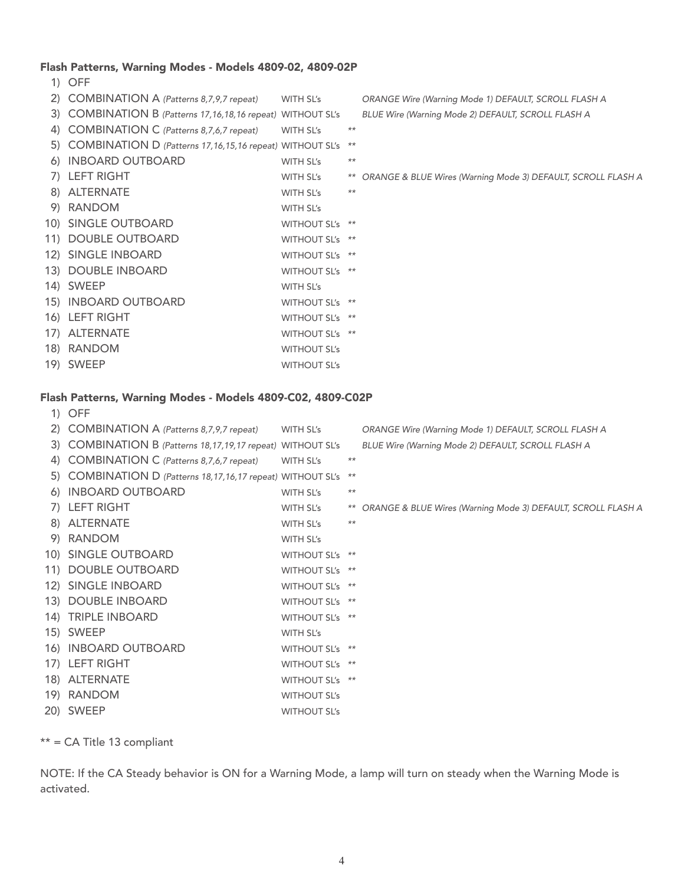#### Flash Patterns, Warning Modes - Models 4809-02, 4809-02P

1) OFF 2) COMBINATION A (Patterns 8,7,9,7 repeat) WITH SL's ORANGE Wire (Warning Mode 1) DEFAULT, SCROLL FLASH A 3) COMBINATION B (Patterns 17,16,18,16 repeat) WITHOUT SL's BLUE Wire (Warning Mode 2) DEFAULT, SCROLL FLASH A 4) COMBINATION C (Patterns 8,7,6,7 repeat) WITH SL's \*\* 5) COMBINATION D (Patterns 17,16,15,16 repeat) WITHOUT SL's \*\* 6) INBOARD OUTBOARD WITH SL's \*\* 7) LEFT RIGHT WITH SL's \*\* ORANGE & BLUE Wires (Warning Mode 3) DEFAULT, SCROLL FLASH A 8) ALTERNATE WITH SL's \*\* 9) RANDOM WITH SL's 10) SINGLE OUTBOARD WITHOUT SL's \*\* 11) DOUBLE OUTBOARD WITHOUT SL's \*\* 12) SINGLE INBOARD WITHOUT SL's \*\* 13) DOUBLE INBOARD WITHOUT SL's \*\* 14) SWEEP WITH SL's 15) INBOARD OUTBOARD WITHOUT SL's \*\* 16) LEFT RIGHT WITHOUT SL's \*\* 17) ALTERNATE WITHOUT SL's \*\* 18) RANDOM WITHOUT SL's 19) SWEEP WITHOUT SL's

#### Flash Patterns, Warning Modes - Models 4809-C02, 4809-C02P

| 1) OFF                                                         |                     |       |                                                                 |
|----------------------------------------------------------------|---------------------|-------|-----------------------------------------------------------------|
| 2) COMBINATION A (Patterns 8,7,9,7 repeat)                     | WITH SL's           |       | ORANGE Wire (Warning Mode 1) DEFAULT, SCROLL FLASH A            |
| 3) COMBINATION B (Patterns 18, 17, 19, 17 repeat) WITHOUT SL's |                     |       | BLUE Wire (Warning Mode 2) DEFAULT, SCROLL FLASH A              |
| 4) COMBINATION C (Patterns 8,7,6,7 repeat)                     | WITH SL's           | $***$ |                                                                 |
| 5) COMBINATION D (Patterns 18, 17, 16, 17 repeat) WITHOUT SL's |                     | $***$ |                                                                 |
| 6) INBOARD OUTBOARD                                            | WITH SL's           | $***$ |                                                                 |
| 7) LEFT RIGHT                                                  | WITH SL's           |       | ** ORANGE & BLUE Wires (Warning Mode 3) DEFAULT, SCROLL FLASH A |
| 8) ALTERNATE                                                   | WITH SL's           | $***$ |                                                                 |
| 9) RANDOM                                                      | WITH SL's           |       |                                                                 |
| 10) SINGLE OUTBOARD                                            | WITHOUT SL's **     |       |                                                                 |
| 11) DOUBLE OUTBOARD                                            | WITHOUT SL's **     |       |                                                                 |
| 12) SINGLE INBOARD                                             | WITHOUT SL's **     |       |                                                                 |
| 13) DOUBLE INBOARD                                             | WITHOUT SL's **     |       |                                                                 |
| 14) TRIPLE INBOARD                                             | WITHOUT SL's **     |       |                                                                 |
| 15) SWEEP                                                      | WITH SL's           |       |                                                                 |
| 16) INBOARD OUTBOARD                                           | WITHOUT SL's **     |       |                                                                 |
| 17) LEFT RIGHT                                                 | WITHOUT SL's **     |       |                                                                 |
| 18) ALTERNATE                                                  | WITHOUT SL's **     |       |                                                                 |
| 19) RANDOM                                                     | <b>WITHOUT SL's</b> |       |                                                                 |
| 20) SWEEP                                                      | <b>WITHOUT SL's</b> |       |                                                                 |
|                                                                |                     |       |                                                                 |

\*\* = CA Title 13 compliant

NOTE: If the CA Steady behavior is ON for a Warning Mode, a lamp will turn on steady when the Warning Mode is activated.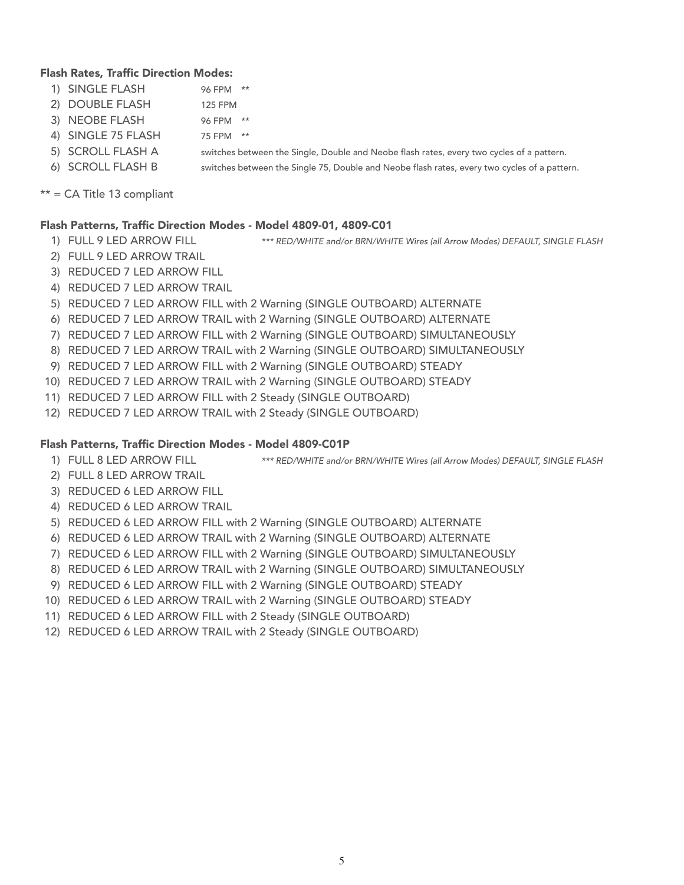### Flash Rates, Traffic Direction Modes:

- 1) SINGLE FLASH 96 FPM \*\*
- 2) DOUBLE FLASH 125 FPM
- 3) NEOBE FLASH 96 FPM \*\*
- 4) SINGLE 75 FLASH 75 FPM \*\*
- 5) SCROLL FLASH A switches between the Single, Double and Neobe flash rates, every two cycles of a pattern.
- 6) SCROLL FLASH B switches between the Single 75, Double and Neobe flash rates, every two cycles of a pattern.

\*\* = CA Title 13 compliant

## Flash Patterns, Traffic Direction Modes - Model 4809-01, 4809-C01

- 
- 2) FULL 9 LED ARROW TRAIL

1) FULL 9 LED ARROW FILL \*\*\* RED/WHITE and/or BRN/WHITE Wires (all Arrow Modes) DEFAULT, SINGLE FLASH

- 
- 3) REDUCED 7 LED ARROW FILL
- 4) REDUCED 7 LED ARROW TRAIL
- 5) REDUCED 7 LED ARROW FILL with 2 Warning (SINGLE OUTBOARD) ALTERNATE
- 6) REDUCED 7 LED ARROW TRAIL with 2 Warning (SINGLE OUTBOARD) ALTERNATE
- 7) REDUCED 7 LED ARROW FILL with 2 Warning (SINGLE OUTBOARD) SIMULTANEOUSLY
- 8) REDUCED 7 LED ARROW TRAIL with 2 Warning (SINGLE OUTBOARD) SIMULTANEOUSLY
- 9) REDUCED 7 LED ARROW FILL with 2 Warning (SINGLE OUTBOARD) STEADY
- 10) REDUCED 7 LED ARROW TRAIL with 2 Warning (SINGLE OUTBOARD) STEADY
- 11) REDUCED 7 LED ARROW FILL with 2 Steady (SINGLE OUTBOARD)
- 12) REDUCED 7 LED ARROW TRAIL with 2 Steady (SINGLE OUTBOARD)

## Flash Patterns, Traffic Direction Modes - Model 4809-C01P

- 1) FULL 8 LED ARROW FILL \*\*\* RED/WHITE and/or BRN/WHITE Wires (all Arrow Modes) DEFAULT, SINGLE FLASH
- 2) FULL 8 LED ARROW TRAIL
- 3) REDUCED 6 LED ARROW FILL
- 4) REDUCED 6 LED ARROW TRAIL
- 5) REDUCED 6 LED ARROW FILL with 2 Warning (SINGLE OUTBOARD) ALTERNATE
- 6) REDUCED 6 LED ARROW TRAIL with 2 Warning (SINGLE OUTBOARD) ALTERNATE
- 7) REDUCED 6 LED ARROW FILL with 2 Warning (SINGLE OUTBOARD) SIMULTANEOUSLY
- 8) REDUCED 6 LED ARROW TRAIL with 2 Warning (SINGLE OUTBOARD) SIMULTANEOUSLY
- 9) REDUCED 6 LED ARROW FILL with 2 Warning (SINGLE OUTBOARD) STEADY
- 10) REDUCED 6 LED ARROW TRAIL with 2 Warning (SINGLE OUTBOARD) STEADY
- 11) REDUCED 6 LED ARROW FILL with 2 Steady (SINGLE OUTBOARD)
- 12) REDUCED 6 LED ARROW TRAIL with 2 Steady (SINGLE OUTBOARD)